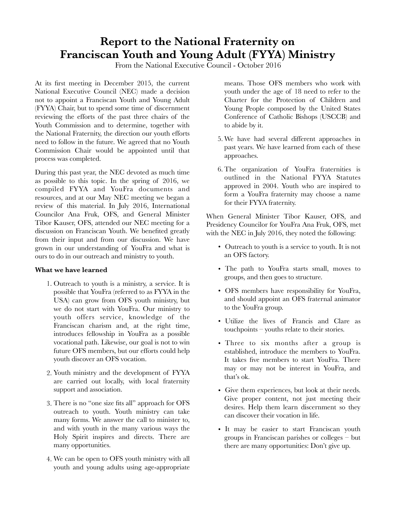### **Report to the National Fraternity on Franciscan Youth and Young Adult (FYYA) Ministry**

From the National Executive Council - October 2016

At its first meeting in December 2015, the current National Executive Council (NEC) made a decision not to appoint a Franciscan Youth and Young Adult (FYYA) Chair, but to spend some time of discernment reviewing the efforts of the past three chairs of the Youth Commission and to determine, together with the National Fraternity, the direction our youth efforts need to follow in the future. We agreed that no Youth Commission Chair would be appointed until that process was completed.

During this past year, the NEC devoted as much time as possible to this topic. In the spring of 2016, we compiled FYYA and YouFra documents and resources, and at our May NEC meeting we began a review of this material. In July 2016, International Councilor Ana Fruk, OFS, and General Minister Tibor Kauser, OFS, attended our NEC meeting for a discussion on Franciscan Youth. We benefited greatly from their input and from our discussion. We have grown in our understanding of YouFra and what is ours to do in our outreach and ministry to youth.

#### **What we have learned**

- 1. Outreach to youth is a ministry, a service. It is possible that YouFra (referred to as FYYA in the USA) can grow from OFS youth ministry, but we do not start with YouFra. Our ministry to youth offers service, knowledge of the Franciscan charism and, at the right time, introduces fellowship in YouFra as a possible vocational path. Likewise, our goal is not to win future OFS members, but our efforts could help youth discover an OFS vocation.
- 2. Youth ministry and the development of FYYA are carried out locally, with local fraternity support and association.
- 3. There is no "one size fits all" approach for OFS outreach to youth. Youth ministry can take many forms. We answer the call to minister to, and with youth in the many various ways the Holy Spirit inspires and directs. There are many opportunities.
- 4. We can be open to OFS youth ministry with all youth and young adults using age-appropriate

means. Those OFS members who work with youth under the age of 18 need to refer to the Charter for the Protection of Children and Young People composed by the United States Conference of Catholic Bishops (USCCB) and to abide by it.

- 5. We have had several different approaches in past years. We have learned from each of these approaches.
- 6. The organization of YouFra fraternities is outlined in the National FYYA Statutes approved in 2004. Youth who are inspired to form a YouFra fraternity may choose a name for their FYYA fraternity.

When General Minister Tibor Kauser, OFS, and Presidency Councilor for YouFra Ana Fruk, OFS, met with the NEC in July 2016, they noted the following:

- Outreach to youth is a service to youth. It is not an OFS factory.
- The path to YouFra starts small, moves to groups, and then goes to structure.
- OFS members have responsibility for YouFra, and should appoint an OFS fraternal animator to the YouFra group.
- Utilize the lives of Francis and Clare as touchpoints – youths relate to their stories.
- Three to six months after a group is established, introduce the members to YouFra. It takes five members to start YouFra. There may or may not be interest in YouFra, and that's ok.
- Give them experiences, but look at their needs. Give proper content, not just meeting their desires. Help them learn discernment so they can discover their vocation in life.
- It may be easier to start Franciscan youth groups in Franciscan parishes or colleges – but there are many opportunities: Don't give up.